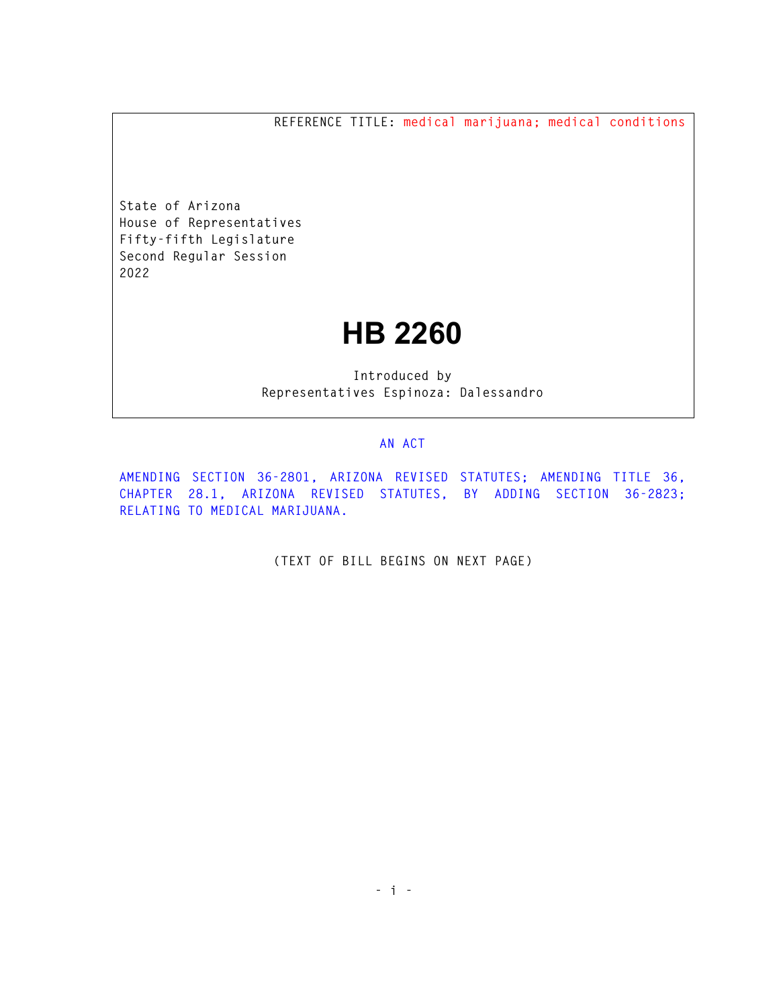**REFERENCE TITLE: medical marijuana; medical conditions** 

**State of Arizona House of Representatives Fifty-fifth Legislature Second Regular Session 2022** 

## **HB 2260**

**Introduced by Representatives Espinoza: Dalessandro** 

## **AN ACT**

**AMENDING SECTION 36-2801, ARIZONA REVISED STATUTES; AMENDING TITLE 36, CHAPTER 28.1, ARIZONA REVISED STATUTES, BY ADDING SECTION 36-2823; RELATING TO MEDICAL MARIJUANA.** 

**(TEXT OF BILL BEGINS ON NEXT PAGE)**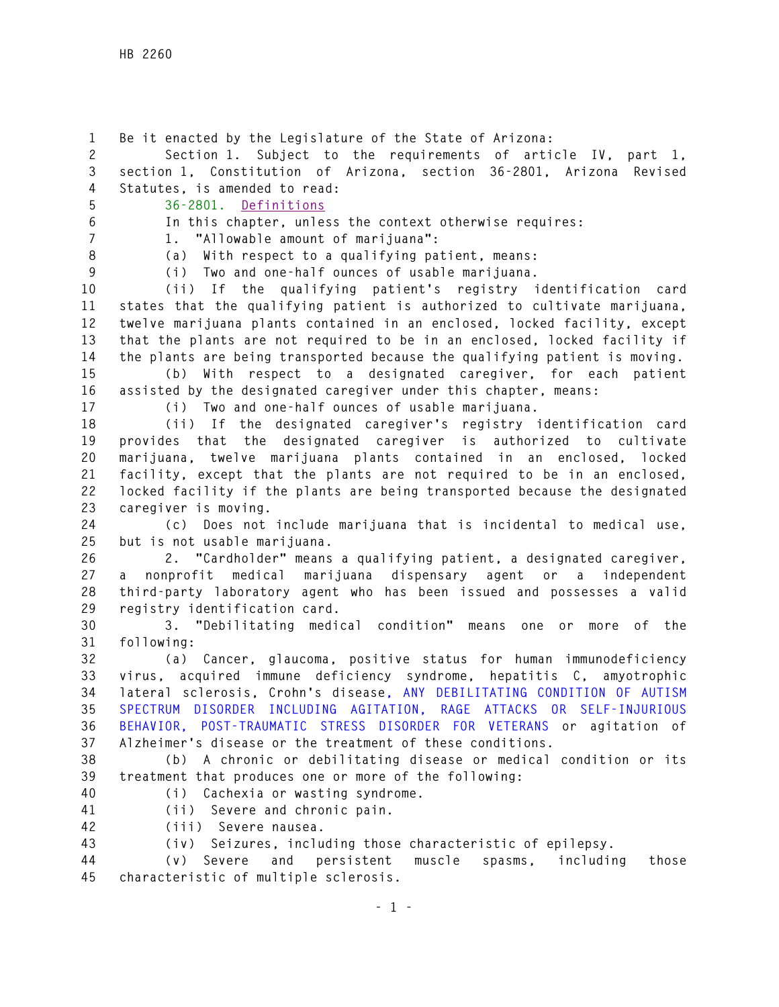**1 Be it enacted by the Legislature of the State of Arizona: 2 Section 1. Subject to the requirements of article IV, part 1, 3 section 1, Constitution of Arizona, section 36-2801, Arizona Revised 4 Statutes, is amended to read: 5 36-2801. Definitions 6 In this chapter, unless the context otherwise requires: 7 1. "Allowable amount of marijuana": 8 (a) With respect to a qualifying patient, means: 9 (i) Two and one-half ounces of usable marijuana. 10 (ii) If the qualifying patient's registry identification card 11 states that the qualifying patient is authorized to cultivate marijuana, 12 twelve marijuana plants contained in an enclosed, locked facility, except 13 that the plants are not required to be in an enclosed, locked facility if 14 the plants are being transported because the qualifying patient is moving. 15 (b) With respect to a designated caregiver, for each patient 16 assisted by the designated caregiver under this chapter, means: 17 (i) Two and one-half ounces of usable marijuana. 18 (ii) If the designated caregiver's registry identification card 19 provides that the designated caregiver is authorized to cultivate 20 marijuana, twelve marijuana plants contained in an enclosed, locked 21 facility, except that the plants are not required to be in an enclosed, 22 locked facility if the plants are being transported because the designated 23 caregiver is moving. 24 (c) Does not include marijuana that is incidental to medical use, 25 but is not usable marijuana. 26 2. "Cardholder" means a qualifying patient, a designated caregiver, 27 a nonprofit medical marijuana dispensary agent or a independent 28 third-party laboratory agent who has been issued and possesses a valid 29 registry identification card. 30 3. "Debilitating medical condition" means one or more of the 31 following: 32 (a) Cancer, glaucoma, positive status for human immunodeficiency 33 virus, acquired immune deficiency syndrome, hepatitis C, amyotrophic 34 lateral sclerosis, Crohn's disease, ANY DEBILITATING CONDITION OF AUTISM 35 SPECTRUM DISORDER INCLUDING AGITATION, RAGE ATTACKS OR SELF-INJURIOUS 36 BEHAVIOR, POST-TRAUMATIC STRESS DISORDER FOR VETERANS or agitation of 37 Alzheimer's disease or the treatment of these conditions. 38 (b) A chronic or debilitating disease or medical condition or its 39 treatment that produces one or more of the following: 40 (i) Cachexia or wasting syndrome. 41 (ii) Severe and chronic pain. 42 (iii) Severe nausea. 43 (iv) Seizures, including those characteristic of epilepsy.** 

**44 (v) Severe and persistent muscle spasms, including those 45 characteristic of multiple sclerosis.**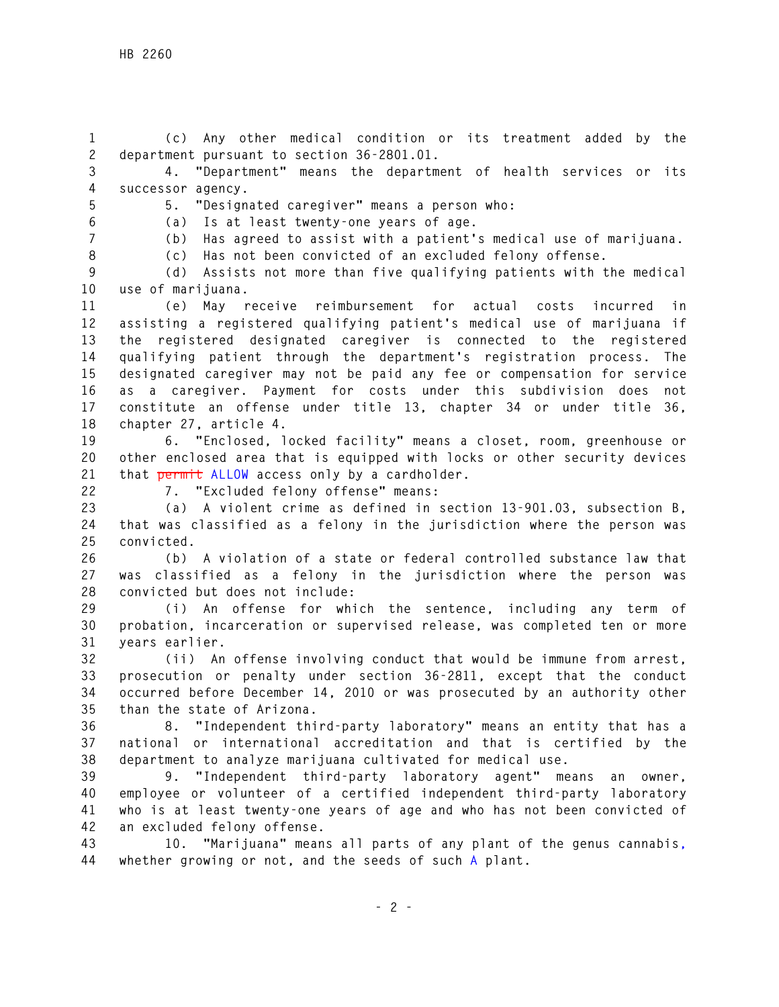**1 (c) Any other medical condition or its treatment added by the 2 department pursuant to section 36-2801.01.** 

**3 4. "Department" means the department of health services or its 4 successor agency.** 

**5 5. "Designated caregiver" means a person who: 6 (a) Is at least twenty-one years of age.** 

**7 (b) Has agreed to assist with a patient's medical use of marijuana.** 

**8 (c) Has not been convicted of an excluded felony offense.** 

**9 (d) Assists not more than five qualifying patients with the medical 10 use of marijuana.** 

**11 (e) May receive reimbursement for actual costs incurred in 12 assisting a registered qualifying patient's medical use of marijuana if 13 the registered designated caregiver is connected to the registered 14 qualifying patient through the department's registration process. The 15 designated caregiver may not be paid any fee or compensation for service 16 as a caregiver. Payment for costs under this subdivision does not 17 constitute an offense under title 13, chapter 34 or under title 36, 18 chapter 27, article 4.** 

**19 6. "Enclosed, locked facility" means a closet, room, greenhouse or 20 other enclosed area that is equipped with locks or other security devices 21 that permit ALLOW access only by a cardholder.** 

**22 7. "Excluded felony offense" means:** 

**23 (a) A violent crime as defined in section 13-901.03, subsection B, 24 that was classified as a felony in the jurisdiction where the person was 25 convicted.** 

**26 (b) A violation of a state or federal controlled substance law that 27 was classified as a felony in the jurisdiction where the person was 28 convicted but does not include:** 

**29 (i) An offense for which the sentence, including any term of 30 probation, incarceration or supervised release, was completed ten or more 31 years earlier.** 

**32 (ii) An offense involving conduct that would be immune from arrest, 33 prosecution or penalty under section 36-2811, except that the conduct 34 occurred before December 14, 2010 or was prosecuted by an authority other 35 than the state of Arizona.** 

**36 8. "Independent third-party laboratory" means an entity that has a 37 national or international accreditation and that is certified by the 38 department to analyze marijuana cultivated for medical use.** 

**39 9. "Independent third-party laboratory agent" means an owner, 40 employee or volunteer of a certified independent third-party laboratory 41 who is at least twenty-one years of age and who has not been convicted of 42 an excluded felony offense.** 

**43 10. "Marijuana" means all parts of any plant of the genus cannabis, 44 whether growing or not, and the seeds of such A plant.**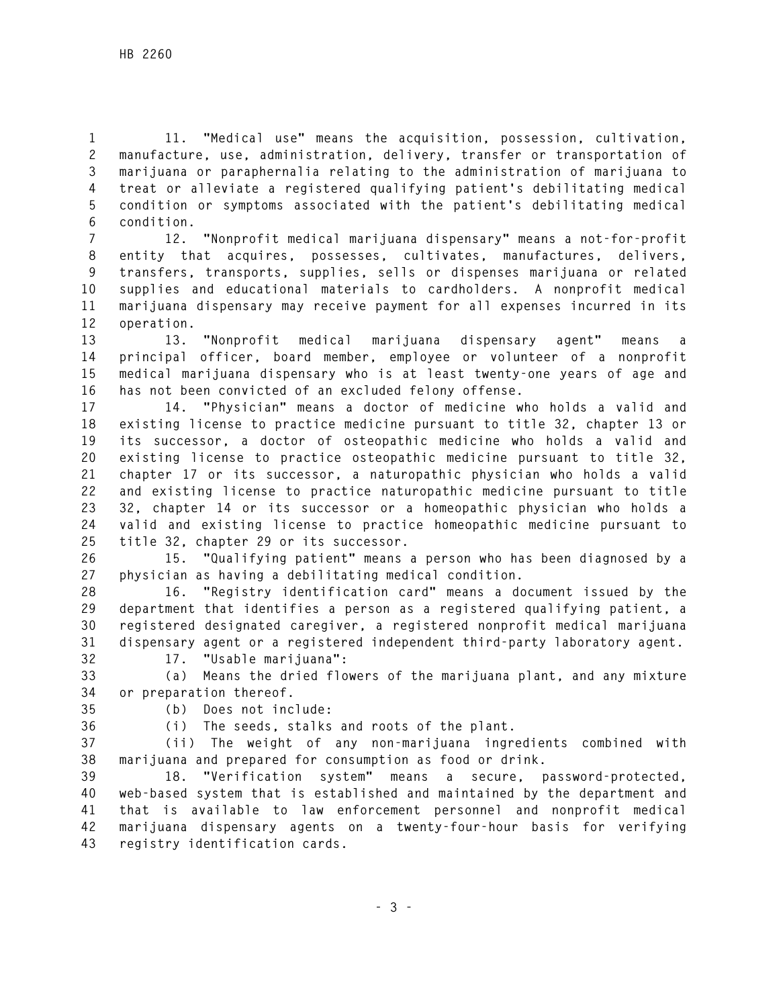**1 11. "Medical use" means the acquisition, possession, cultivation, 2 manufacture, use, administration, delivery, transfer or transportation of 3 marijuana or paraphernalia relating to the administration of marijuana to 4 treat or alleviate a registered qualifying patient's debilitating medical 5 condition or symptoms associated with the patient's debilitating medical 6 condition.** 

**7 12. "Nonprofit medical marijuana dispensary" means a not-for-profit 8 entity that acquires, possesses, cultivates, manufactures, delivers, 9 transfers, transports, supplies, sells or dispenses marijuana or related 10 supplies and educational materials to cardholders. A nonprofit medical 11 marijuana dispensary may receive payment for all expenses incurred in its 12 operation.** 

**13 13. "Nonprofit medical marijuana dispensary agent" means a 14 principal officer, board member, employee or volunteer of a nonprofit 15 medical marijuana dispensary who is at least twenty-one years of age and 16 has not been convicted of an excluded felony offense.** 

**17 14. "Physician" means a doctor of medicine who holds a valid and 18 existing license to practice medicine pursuant to title 32, chapter 13 or 19 its successor, a doctor of osteopathic medicine who holds a valid and 20 existing license to practice osteopathic medicine pursuant to title 32, 21 chapter 17 or its successor, a naturopathic physician who holds a valid 22 and existing license to practice naturopathic medicine pursuant to title 23 32, chapter 14 or its successor or a homeopathic physician who holds a 24 valid and existing license to practice homeopathic medicine pursuant to 25 title 32, chapter 29 or its successor.** 

**26 15. "Qualifying patient" means a person who has been diagnosed by a 27 physician as having a debilitating medical condition.** 

**28 16. "Registry identification card" means a document issued by the 29 department that identifies a person as a registered qualifying patient, a 30 registered designated caregiver, a registered nonprofit medical marijuana 31 dispensary agent or a registered independent third-party laboratory agent.** 

**32 17. "Usable marijuana":** 

**33 (a) Means the dried flowers of the marijuana plant, and any mixture 34 or preparation thereof.** 

**35 (b) Does not include:** 

**36 (i) The seeds, stalks and roots of the plant.** 

**37 (ii) The weight of any non-marijuana ingredients combined with 38 marijuana and prepared for consumption as food or drink.** 

**39 18. "Verification system" means a secure, password-protected, 40 web-based system that is established and maintained by the department and 41 that is available to law enforcement personnel and nonprofit medical 42 marijuana dispensary agents on a twenty-four-hour basis for verifying 43 registry identification cards.**